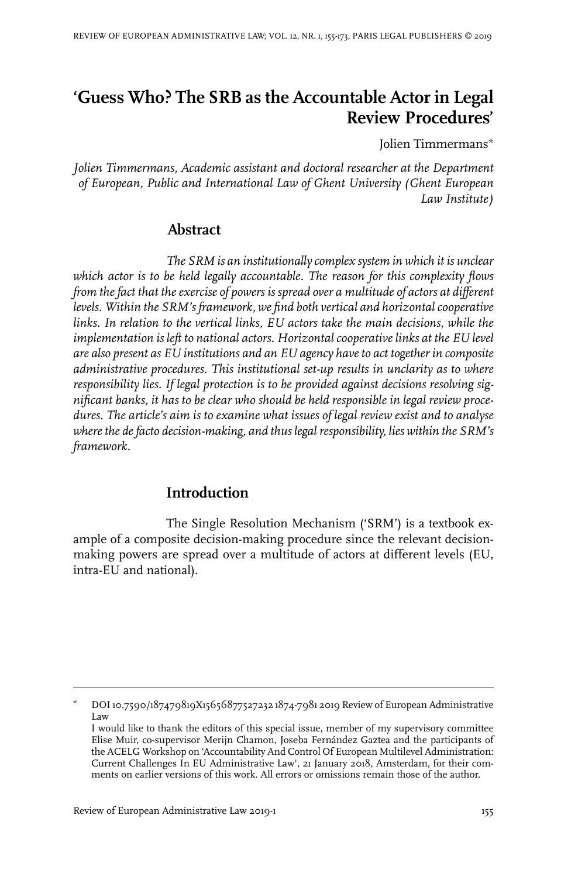# **'Guess Who? The SRB as the Accountable Actor in Legal Review Procedures'**

Jolien Timmermans\*

*Jolien Timmermans, Academic assistant and doctoral researcher at the Department of European, Public and International Law of Ghent University (Ghent European Law Institute)*

## **Abstract**

*The SRM is an institutionally complex system in which it is unclear which actor is to be held legally accountable. The reason for this complexity flows from the fact that the exercise of powers is spread over a multitude of actors at different levels. Within the SRM's framework, we find both vertical and horizontalcooperative links. In relation to the vertical links, EU actors take the main decisions, while the implementation is left to national actors. Horizontal cooperative links at the EU level are also present as EU institutions and an EU agency haveto act together in composite administrative procedures. This institutional set-up results in unclarity as to where responsibility lies. If legal protection is to be provided against decisions resolving significant banks, it has to be clear who should be held responsible in legal review procedures. The article's aim is to examine what issues of legal review exist and to analyse wherethe defacto decision-making, and thus legal responsibility, lies within the SRM's framework.*

# **Introduction**

The Single Resolution Mechanism ('SRM') is a textbook example of a composite decision-making procedure since the relevant decisionmaking powers are spread over a multitude of actors at different levels (EU, intra-EU and national).

DOI10.7590/187479819X15656877527232 1874-7981 2019 Review of European Administrative Law \*

I would like to thank the editors of this special issue, member of my supervisory committee Elise Muir, co-supervisor Merijn Chamon, Joseba Fernández Gaztea and the participants of the ACELG Workshop on 'Accountability And Control Of European Multilevel Administration: Current Challenges In EU Administrative Law', 21 January 2018, Amsterdam, for their comments on earlier versions of this work. All errors or omissions remain those of the author.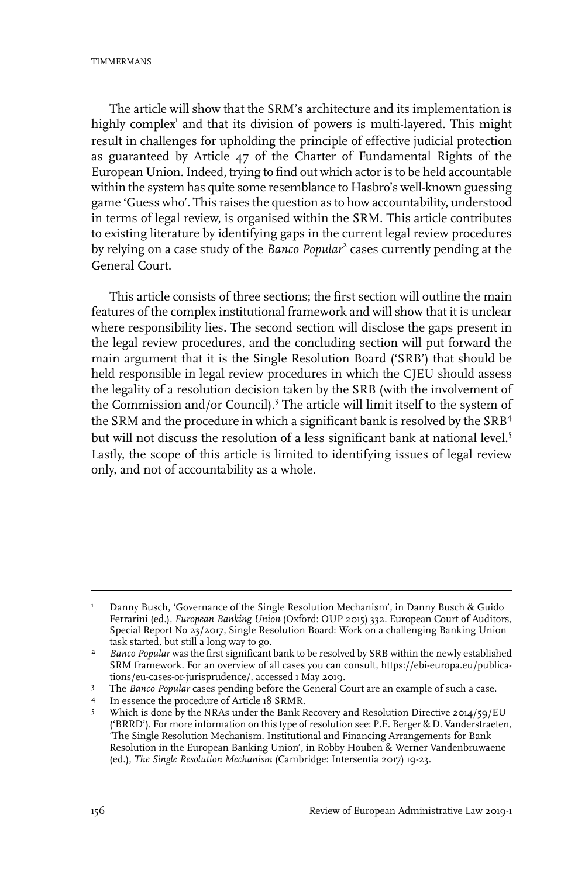TIMMERMANS

The article will show that the SRM's architecture and its implementation is highly complex<sup>1</sup> and that its division of powers is multi-layered. This might result in challenges for upholding the principle of effective judicial protection as guaranteed by Article 47 of the Charter of Fundamental Rights of the European Union. Indeed, trying to find out which actor is to be held accountable within the system has quite some resemblance to Hasbro's well-known guessing game 'Guess who'. This raises the question as to how accountability, understood in terms of legal review, is organised within the SRM. This article contributes to existing literature by identifying gaps in the current legal review procedures by relying on a case study of the *Banco Popular<sup>2</sup>* cases currently pending at the General Court.

This article consists of three sections; the first section will outline the main features of the complex institutional framework and will show that it is unclear where responsibility lies. The second section will disclose the gaps present in the legal review procedures, and the concluding section will put forward the main argument that it is the Single Resolution Board ('SRB') that should be held responsible in legal review procedures in which the CJEU should assess the legality of a resolution decision taken by the SRB (with the involvement of the Commission and/or Council).<sup>3</sup> The article will limit itself to the system of the SRM and the procedure in which a significant bank is resolved by the SRB<sup>4</sup> but will not discuss the resolution of a less significant bank at national level.<sup>5</sup> Lastly, the scope of this article is limited to identifying issues of legal review only, and not of accountability as a whole.

Danny Busch, 'Governance of the Single Resolution Mechanism', in Danny Busch & Guido Ferrarini (ed.), *European Banking Union* (Oxford: OUP 2015) 332. European Court of Auditors, 1 Special Report No 23/2017, Single Resolution Board: Work on a challenging Banking Union task started, but still a long way to go.

*Banco Popular* was the first significant bank to be resolved by SRB within the newly established SRM framework. For an overview of all cases you can consult, https://ebi-europa.eu/publications/eu-cases-or-jurisprudence/, accessed 1 May 2019. 2

<sup>&</sup>lt;sup>3</sup> The *Banco Popular* cases pending before the General Court are an example of such a case.

In essence the procedure of Article 18 SRMR.

Which is done by the NRAs under the Bank Recovery and Resolution Directive 2014/59/EU ('BRRD'). For more information on this type of resolution see: P.E. Berger & D. Vanderstraeten, 5 'The Single Resolution Mechanism.Institutional and Financing Arrangements for Bank Resolution in the European Banking Union', in Robby Houben & Werner Vandenbruwaene (ed.), *The Single Resolution Mechanism* (Cambridge:Intersentia 2017) 19-23.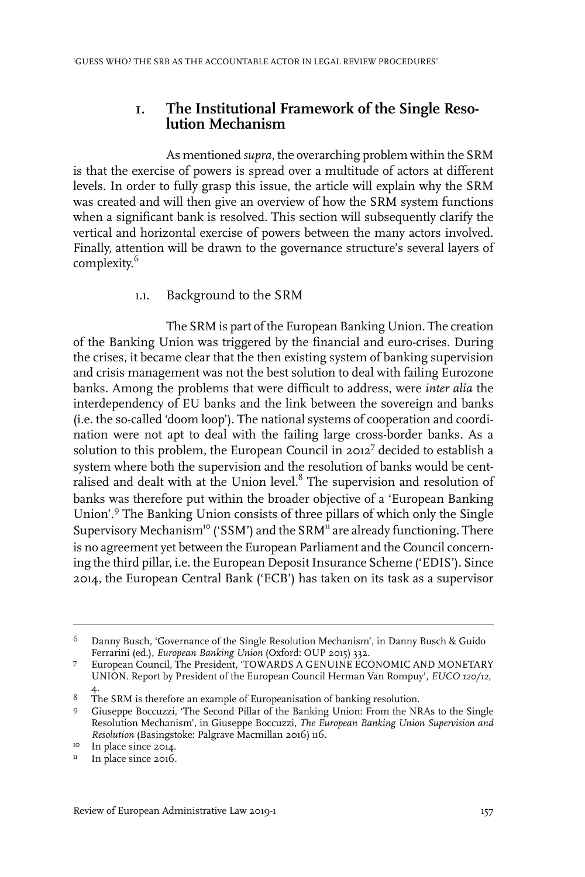### **1. The Institutional Framework of the Single Resolution Mechanism**

As mentioned *supra*, the overarching problem within the SRM is that the exercise of powers is spread over a multitude of actors at different levels. In order to fully grasp this issue, the article will explain why the SRM was created and will then give an overview of how the SRM system functions when a significant bank is resolved. This section will subsequently clarify the vertical and horizontal exercise of powers between the many actors involved. Finally, attention will be drawn to the governance structure's several layers of complexity. 6

### 1.1. Background to the SRM

The SRM is part of the European Banking Union. The creation of the Banking Union was triggered by the financial and euro-crises. During the crises, it became clear that the then existing system of banking supervision and crisis management was not the best solution to deal with failing Eurozone banks. Among the problems that were difficult to address, were *inter alia* the interdependency of EU banks and the link between the sovereign and banks (i.e. the so-called 'doom loop'). The national systems of cooperation and coordination were not apt to deal with the failing large cross-border banks. As a solution to this problem, the European Council in 2012 $^7$  decided to establish a system where both the supervision and the resolution of banks would be centralised and dealt with at the Union level. $^8$  The supervision and resolution of banks was therefore put within the broader objective of a 'European Banking Union'.<sup>9</sup> The Banking Union consists of three pillars of which only the Single Supervisory Mechanism<sup>10</sup> ('SSM') and the SRM<sup>11</sup> are already functioning. There is no agreement yet between the European Parliament and the Council concerning the third pillar, i.e. the European Deposit Insurance Scheme ('EDIS'). Since 2014, the European Central Bank ('ECB') has taken on its task as a supervisor

Danny Busch, 'Governance of the Single Resolution Mechanism', in Danny Busch & Guido Ferrarini (ed.), *European Banking Union* (Oxford: OUP 2015) 332. 6

European Council, The President, 'TOWARDS A GENUINE ECONOMIC AND MONETARY UNION. Report by President of the European Council Herman Van Rompuy', *EUCO 120/12*, 4. 7

<sup>&</sup>lt;sup>8</sup> The SRM is therefore an example of Europeanisation of banking resolution.

Giuseppe Boccuzzi, 'The Second Pillar of the Banking Union: From the NRAs to the Single 9 Resolution Mechanism', in Giuseppe Boccuzzi, *The European Banking Union Supervision and Resolution* (Basingstoke: Palgrave Macmillan 2016) 116.

 $\frac{10}{11}$  In place since 2014.

In place since 2016.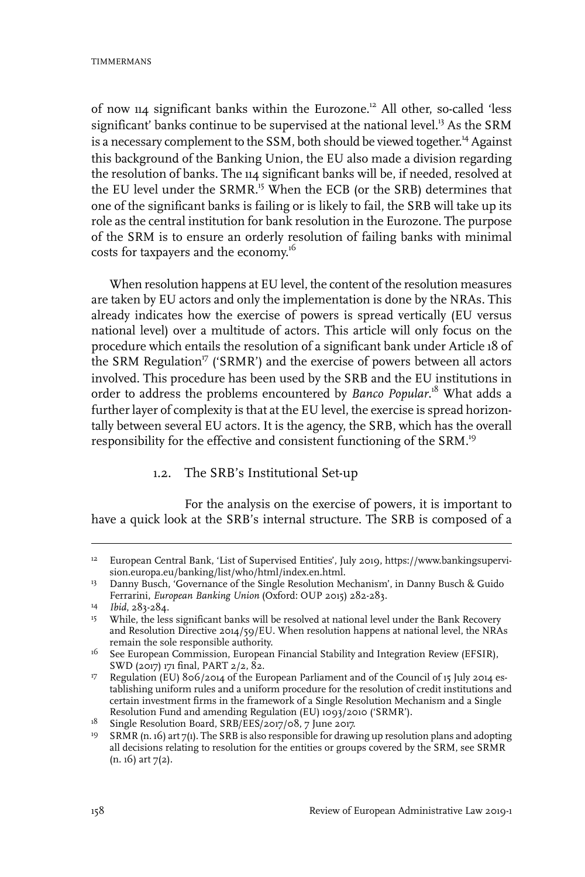of now 114 significant banks within the Eurozone.<sup>12</sup> All other, so-called 'less significant' banks continue to be supervised at the national level.<sup>13</sup> As the SRM is a necessary complement to the SSM, both should be viewed together. <sup>14</sup> Against this background of the Banking Union, the EU also made a division regarding the resolution of banks. The 114 significant banks will be, if needed, resolved at the EU level under the SRMR.<sup>15</sup> When the ECB (or the SRB) determines that one of the significant banks is failing or is likely to fail, the SRB will take up its role as the central institution for bank resolution in the Eurozone. The purpose of the SRM is to ensure an orderly resolution of failing banks with minimal costs for taxpayers and the economy. 16

When resolution happens at EU level, the content of the resolution measures are taken by EU actors and only the implementation is done by the NRAs. This already indicates how the exercise of powers is spread vertically (EU versus national level) over a multitude of actors. This article will only focus on the procedure which entails the resolution of a significant bank under Article 18 of the SRM Regulation<sup>17</sup> ('SRMR') and the exercise of powers between all actors involved. This procedure has been used by the SRB and the EU institutions in order to address the problems encountered by *Banco Popular*. <sup>18</sup> What adds a further layer of complexity is that at the EU level, the exercise is spread horizontally between several EU actors. It is the agency, the SRB, which has the overall responsibility for the effective and consistent functioning of the SRM.<sup>19</sup>

#### 1.2. The SRB's Institutional Set-up

For the analysis on the exercise of powers, it is important to have a quick look at the SRB's internal structure. The SRB is composed of a

<sup>&</sup>lt;sup>12</sup> European Central Bank, 'List of Supervised Entities', July 2019, https://www.bankingsupervision.europa.eu/banking/list/who/html/index.en.html.

<sup>&</sup>lt;sup>13</sup> Danny Busch, 'Governance of the Single Resolution Mechanism', in Danny Busch & Guido Ferrarini, *European Banking Union* (Oxford: OUP 2015) 282-283.

<sup>&</sup>lt;sup>14</sup> *Ibid*, 283-284.

<sup>&</sup>lt;sup>15</sup> While, the less significant banks will be resolved at national level under the Bank Recovery and Resolution Directive 2014/59/EU. When resolution happens at national level, the NRAs remain the sole responsible authority.

 $^{16}$  See European Commission, European Financial Stability and Integration Review (EFSIR), SWD (2017) 171 final, PART 2/2, 82.

<sup>&</sup>lt;sup>17</sup> Regulation (EU)  $806/2014$  of the European Parliament and of the Council of 15 July 2014 establishing uniform rules and a uniform procedure for the resolution of credit institutions and certain investment firms in the framework of a Single Resolution Mechanism and a Single Resolution Fund and amending Regulation (EU) 1093/2010 ('SRMR').

<sup>&</sup>lt;sup>18</sup> Single Resolution Board, SRB/EES/2017/08, 7 June 2017.

<sup>&</sup>lt;sup>19</sup> SRMR (n. 16) art 7(1). The SRB is also responsible for drawing up resolution plans and adopting all decisions relating to resolution for the entities or groups covered by the SRM, see SRMR  $(n. 16)$  art  $7(2)$ .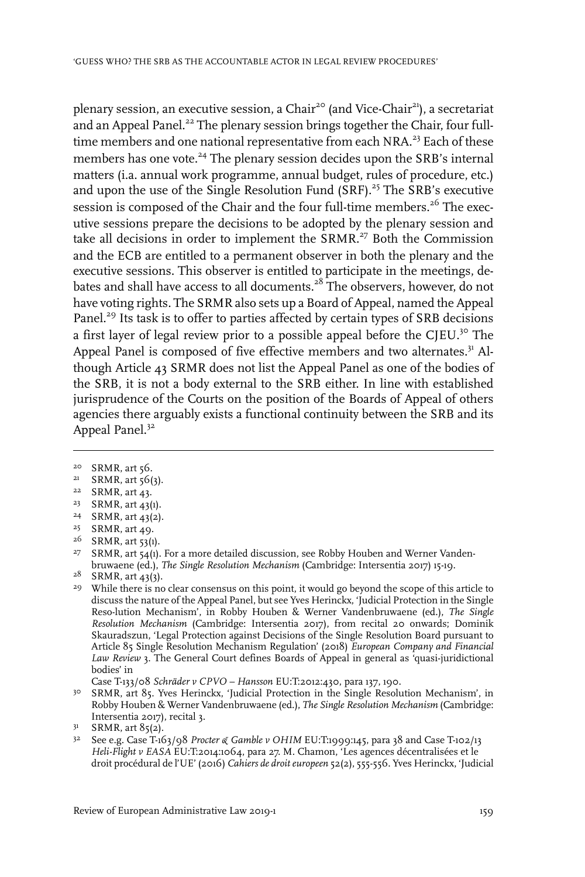plenary session, an executive session, a Chair<sup>20</sup> (and Vice-Chair<sup>21</sup>), a secretariat and an Appeal Panel.<sup>22</sup> The plenary session brings together the Chair, four fulltime members and one national representative from each NRA.<sup>23</sup> Each of these members has one vote.<sup>24</sup> The plenary session decides upon the SRB's internal matters (i.a. annual work programme, annual budget, rules of procedure, etc.) and upon the use of the Single Resolution Fund (SRF).<sup>25</sup> The SRB's executive session is composed of the Chair and the four full-time members.<sup>26</sup> The executive sessions prepare the decisions to be adopted by the plenary session and take all decisions in order to implement the SRMR.<sup>27</sup> Both the Commission and the ECB are entitled to a permanent observer in both the plenary and the executive sessions. This observer is entitled to participate in the meetings, debates and shall have access to all documents.<sup>28</sup> The observers, however, do not have voting rights. The SRMR also sets up a Board of Appeal, named the Appeal Panel.<sup>29</sup> Its task is to offer to parties affected by certain types of SRB decisions a first layer of legal review prior to a possible appeal before the CJEU.<sup>30</sup> The Appeal Panel is composed of five effective members and two alternates.<sup>31</sup> Although Article 43 SRMR does not list the Appeal Panel as one of the bodies of the SRB, it is not a body external to the SRB either. In line with established jurisprudence of the Courts on the position of the Boards of Appeal of others agencies there arguably exists a functional continuity between the SRB and its Appeal Panel.<sup>32</sup>

- $24$  SRMR, art 43(2).
- <sup>25</sup> SRMR, art 49. <sup>26</sup> SRMR, art 53(1).

<sup>&</sup>lt;sup>20</sup> SRMR, art 56.

 $21$  SRMR, art  $56(3)$ .

 $22$  SRMR, art 43.

<sup>&</sup>lt;sup>23</sup> SRMR, art 43(1).

 $27$  SRMR, art 54(1). For a more detailed discussion, see Robby Houben and Werner Vandenbruwaene (ed.), *The Single Resolution Mechanism* (Cambridge:Intersentia 2017) 15-19.

 $28$  SRMR, art 43(3).

<sup>&</sup>lt;sup>29</sup> While there is no clear consensus on this point, it would go beyond the scope of this article to discuss the nature of the Appeal Panel, but see Yves Herinckx, 'Judicial Protection in the Single Reso-lution Mechanism', in Robby Houben & Werner Vandenbruwaene (ed.), *The Single Resolution Mechanism* (Cambridge: Intersentia 2017), from recital 20 onwards; Dominik Skauradszun, 'Legal Protection against Decisions of the Single Resolution Board pursuant to Article 85 Single Resolution Mechanism Regulation' (2018) *European Company and Financial Law Review* 3. The General Court defines Boards of Appeal in general as 'quasi-juridictional bodies' in

Case T-133/08 *Schräder v CPVO – Hansson* EU:T:2012:430, para 137, 190.

<sup>&</sup>lt;sup>30</sup> SRMR, art 85. Yves Herinckx, 'Judicial Protection in the Single Resolution Mechanism', in Robby Houben & Werner Vandenbruwaene (ed.), *The Single Resolution Mechanism* (Cambridge: Intersentia 2017), recital 3.

 $3<sup>1</sup>$  SRMR, art  $85(2)$ .

See e.g. Case T-163/98 *Procter & Gamble v OHIM* EU:T:1999:145, para 38 and Case T-102/13 32 *Heli-Flight v EASA* EU:T:2014:1064, para 27. M. Chamon, 'Les agences décentralisées et le droit procédural de l'UE' (2016) *Cahiers de droiteuropeen* 52(2), 555-556. Yves Herinckx, 'Judicial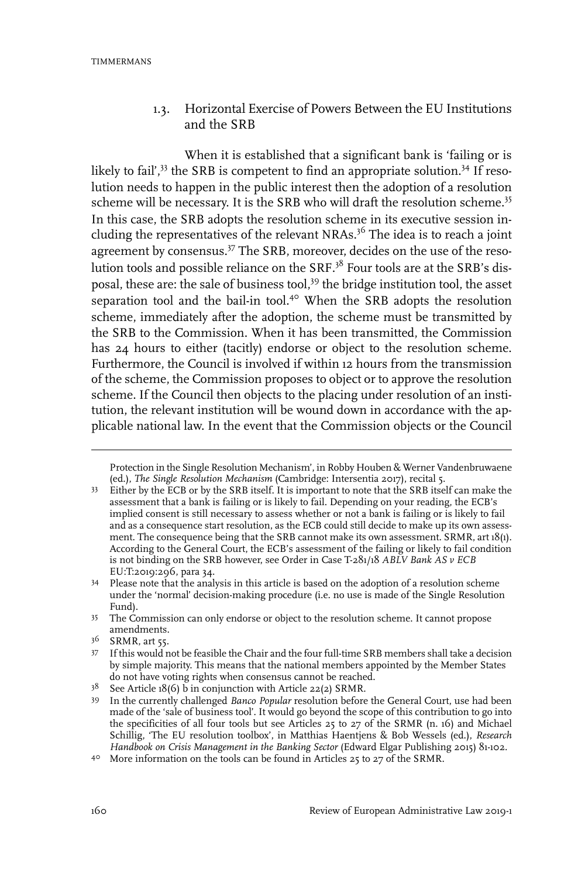### 1.3. Horizontal Exercise of Powers Between the EU Institutions and the SRB

When it is established that a significant bank is 'failing or is likely to fail',<sup>33</sup> the SRB is competent to find an appropriate solution.<sup>34</sup> If resolution needs to happen in the public interest then the adoption of a resolution scheme will be necessary. It is the SRB who will draft the resolution scheme.<sup>35</sup> In this case, the SRB adopts the resolution scheme in its executive session including the representatives of the relevant NRAs. $3<sup>6</sup>$  The idea is to reach a joint agreement by consensus.<sup>37</sup> The SRB, moreover, decides on the use of the resolution tools and possible reliance on the SRF.<sup>38</sup> Four tools are at the SRB's disposal, these are: the sale of business tool,<sup>39</sup> the bridge institution tool, the asset separation tool and the bail-in tool.<sup>40</sup> When the SRB adopts the resolution scheme, immediately after the adoption, the scheme must be transmitted by the SRB to the Commission. When it has been transmitted, the Commission has 24 hours to either (tacitly) endorse or object to the resolution scheme. Furthermore, the Council is involved if within 12 hours from the transmission of the scheme, the Commission proposes to object or to approve the resolution scheme. If the Council then objects to the placing under resolution of an institution, the relevant institution will be wound down in accordance with the applicable national law. In the event that the Commission objects or the Council

Protection in the Single Resolution Mechanism', in Robby Houben & Werner Vandenbruwaene (ed.), *The Single Resolution Mechanism* (Cambridge:Intersentia 2017), recital 5.

Either by the ECB or by the SRB itself. It is important to note that the SRB itself can make the assessment that a bank is failing or is likely to fail. Depending on your reading, the ECB's 33 implied consent is still necessary to assess whether or not a bank is failing or is likely to fail and as a consequence start resolution, as the ECB could still decide to make up its own assessment. The consequence being that the SRB cannot make its own assessment. SRMR, art 18(1). According to the General Court, the ECB's assessment of the failing or likely to fail condition is not binding on the SRB however, see Order in Case T-281/18 *ABLV Bank AS v ECB* EU:T:2019:296, para 34.

Please note that the analysis in this article is based on the adoption of a resolution scheme 34 under the 'normal' decision-making procedure (i.e. no use is made of the Single Resolution Fund).

<sup>&</sup>lt;sup>35</sup> The Commission can only endorse or object to the resolution scheme. It cannot propose amendments.

<sup>36</sup> SRMR, art 55.

If this would not be feasible the Chair and the four full-time SRB members shall take a decision 37 by simple majority. This means that the national members appointed by the Member States do not have voting rights when consensus cannot be reached.

 $3^8$  See Article 18(6) b in conjunction with Article 22(2) SRMR.

<sup>&</sup>lt;sup>39</sup> In the currently challenged *Banco Popular* resolution before the General Court, use had been made of the 'sale of business tool'.It would go beyond the scope of this contribution to go into the specificities of all four tools but see Articles 25 to 27 of the SRMR (n. 16) and Michael Schillig, 'The EU resolution toolbox', in Matthias Haentjens & Bob Wessels (ed.), *Research Handbook on Crisis Management in the Banking Sector* (Edward Elgar Publishing 2015) 81-102.

<sup>40</sup> More information on the tools can be found in Articles 25 to 27 of the SRMR.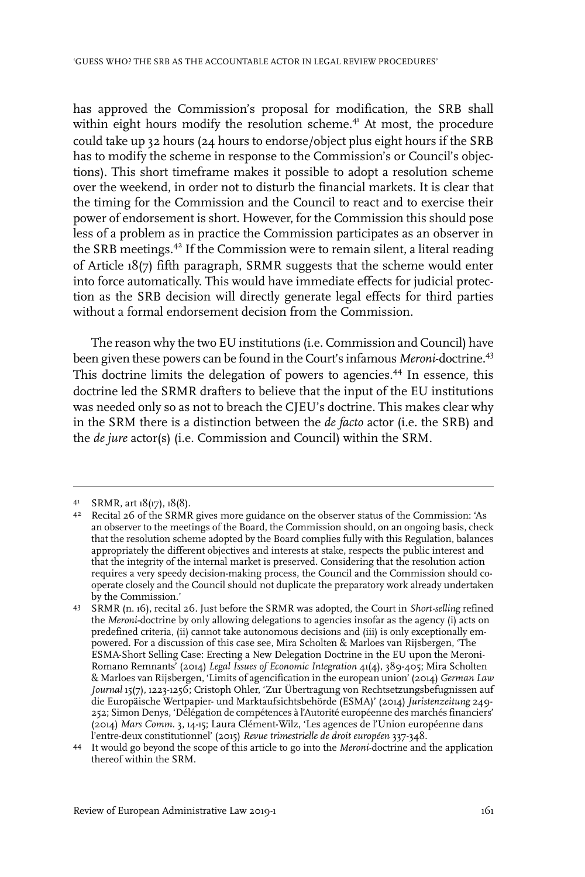has approved the Commission's proposal for modification, the SRB shall within eight hours modify the resolution scheme.<sup>41</sup> At most, the procedure could take up 32 hours (24 hours to endorse/object plus eight hours if the SRB has to modify the scheme in response to the Commission's or Council's objections). This short timeframe makes it possible to adopt a resolution scheme over the weekend, in order not to disturb the financial markets. It is clear that the timing for the Commission and the Council to react and to exercise their power of endorsement is short. However, for the Commission this should pose less of a problem as in practice the Commission participates as an observer in the SRB meetings.<sup>42</sup> If the Commission were to remain silent, a literal reading of Article 18(7) fifth paragraph, SRMR suggests that the scheme would enter into force automatically. This would have immediate effects for judicial protection as the SRB decision will directly generate legal effects for third parties without a formal endorsement decision from the Commission.

The reason why the two EU institutions (i.e. Commission and Council) have been given these powers can be found in the Court's infamous *Meroni*-doctrine.<sup>43</sup> This doctrine limits the delegation of powers to agencies.<sup>44</sup> In essence, this doctrine led the SRMR drafters to believe that the input of the EU institutions was needed only so as not to breach the CJEU's doctrine. This makes clear why in the SRM there is a distinction between the *de facto* actor (i.e. the SRB) and the *de jure* actor(s) (i.e. Commission and Council) within the SRM.

<sup>41</sup> SRMR, art 18(17), 18(8).

Recital 26 of the SRMR gives more guidance on the observer status of the Commission: 'As 42 an observer to the meetings of the Board, the Commission should, on an ongoing basis, check that the resolution scheme adopted by the Board complies fully with this Regulation, balances appropriately the different objectives and interests at stake, respects the public interest and that the integrity of the internal market is preserved. Considering that the resolution action requires a very speedy decision-making process, the Council and the Commission should cooperate closely and the Council should not duplicate the preparatory work already undertaken by the Commission.'

SRMR (n. 16), recital 26. Just before the SRMR was adopted, the Court in *Short-selling* refined 43 the *Meroni*-doctrine by only allowing delegations to agencies insofar as the agency (i) acts on predefined criteria, (ii) cannot take autonomous decisions and (iii) is only exceptionally empowered. For a discussion of this case see, Mira Scholten & Marloes van Rijsbergen, 'The ESMA-Short Selling Case: Erecting a New Delegation Doctrine in the EU upon the Meroni-Romano Remnants' (2014) *Legal Issues of Economic Integration* 41(4), 389-405; Mira Scholten & Marloes van Rijsbergen, 'Limits of agencification in the european union' (2014) *German Law Journal* 15(7), 1223-1256; Cristoph Ohler, 'Zur Übertragung von Rechtsetzungsbefugnissen auf die Europäische Wertpapier- und Marktaufsichtsbehörde (ESMA)' (2014) *Juristenzeitung* 249- 252; Simon Denys, 'Délégation de compétences à l'Autorité européenne des marchés financiers' (2014) *Mars Comm.* 3, 14-15; Laura Clément-Wilz, 'Les agences de l'Union européenne dans l'entre-deux constitutionnel' (2015) *Revue trimestrielle de droit européen* 337-348.

<sup>&</sup>lt;sup>44</sup> It would go beyond the scope of this article to go into the *Meroni*-doctrine and the application thereof within the SRM.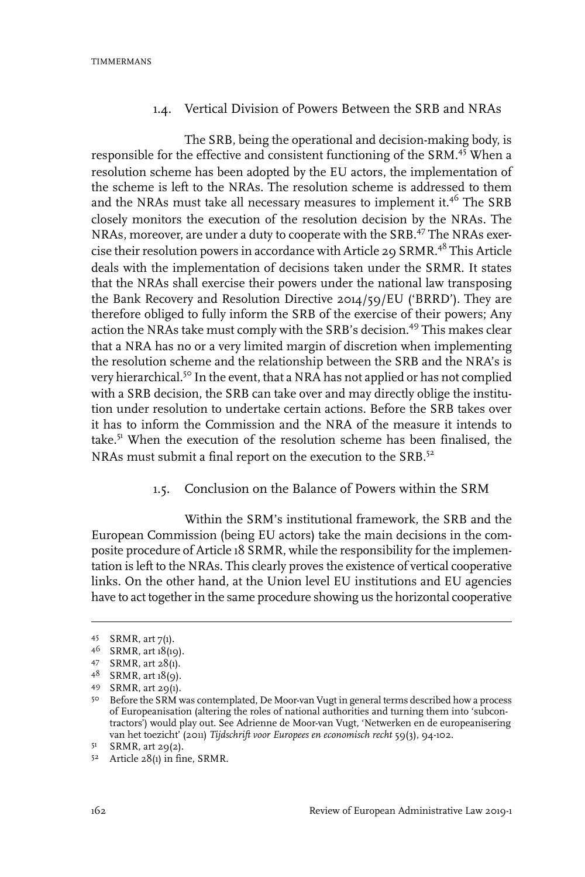### 1.4. Vertical Division of Powers Between the SRB and NRAs

The SRB, being the operational and decision-making body, is responsible for the effective and consistent functioning of the SRM.<sup>45</sup> When a resolution scheme has been adopted by the EU actors, the implementation of the scheme is left to the NRAs. The resolution scheme is addressed to them and the NRAs must take all necessary measures to implement it.<sup>46</sup> The SRB closely monitors the execution of the resolution decision by the NRAs. The NRAs, moreover, are under a duty to cooperate with the SRB.<sup>47</sup> The NRAs exercise their resolution powers in accordance with Article 29  $S\text{RMR}$ .<sup>48</sup> This Article deals with the implementation of decisions taken under the SRMR. It states that the NRAs shall exercise their powers under the national law transposing the Bank Recovery and Resolution Directive 2014/59/EU ('BRRD'). They are therefore obliged to fully inform the SRB of the exercise of their powers; Any action the NRAs take must comply with the SRB's decision.<sup>49</sup> This makes clear that a NRA has no or a very limited margin of discretion when implementing the resolution scheme and the relationship between the SRB and the NRA's is very hierarchical.<sup>50</sup> In the event, that a NRA has not applied or has not complied with a SRB decision, the SRB can take over and may directly oblige the institution under resolution to undertake certain actions. Before the SRB takes over it has to inform the Commission and the NRA of the measure it intends to take.<sup>51</sup> When the execution of the resolution scheme has been finalised, the NRAs must submit a final report on the execution to the SRB.<sup>52</sup>

#### 1.5. Conclusion on the Balance of Powers within the SRM

Within the SRM's institutional framework, the SRB and the European Commission (being EU actors) take the main decisions in the composite procedure of Article 18 SRMR, while the responsibility for the implementation is left to the NRAs. This clearly proves the existence of vertical cooperative links. On the other hand, at the Union level EU institutions and EU agencies have to act together in the same procedure showing us the horizontal cooperative

<sup>45</sup> SRMR, art 7(1).

SRMR, art 18(19). <sup>46</sup>

<sup>47</sup> SRMR, art  $28(1)$ .

 $48$  SRMR, art  $18(9)$ .

<sup>49</sup> SRMR, art 29(1).

<sup>50</sup> Before the SRM was contemplated, De Moor-van Vugt in general terms described how a process of Europeanisation (altering the roles of national authorities and turning them into 'subcontractors') would play out. See Adrienne de Moor-van Vugt, 'Netwerken en de europeanisering van het toezicht' (2011) *Tijdschrift voor Europees en economisch recht* 59(3), 94-102.

 $5<sup>1</sup>$  SRMR, art 29(2).

 $52$  Article  $28(1)$  in fine, SRMR.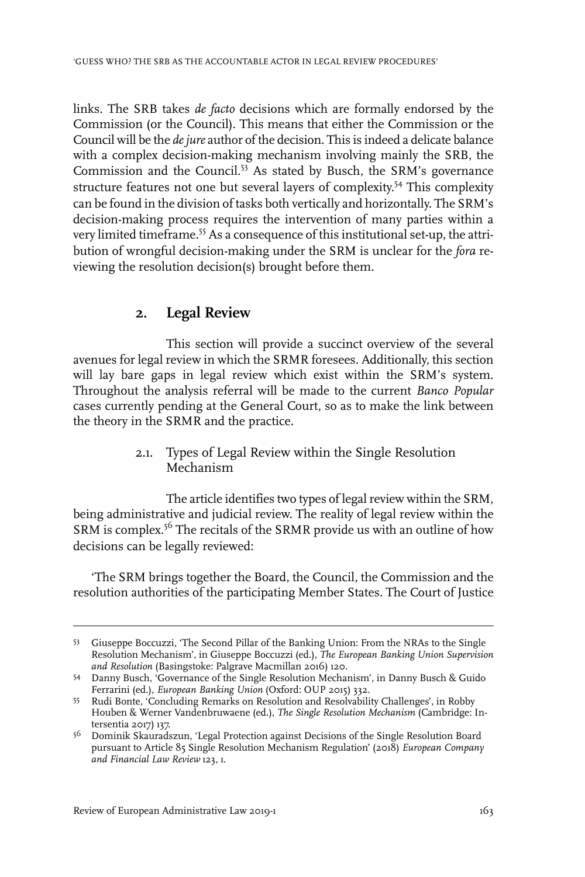links. The SRB takes *de facto* decisions which are formally endorsed by the Commission (or the Council). This means that either the Commission or the Council will be the *dejure* author of the decision. This is indeed a delicate balance with a complex decision-making mechanism involving mainly the SRB, the Commission and the Council.<sup>53</sup> As stated by Busch, the SRM's governance structure features not one but several layers of complexity. <sup>54</sup> This complexity can be found in the division of tasks both vertically and horizontally. The SRM's decision-making process requires the intervention of many parties within a very limited timeframe.<sup>55</sup> As a consequence of this institutional set-up, the attribution of wrongful decision-making under the SRM is unclear for the *fora* reviewing the resolution decision(s) brought before them.

### **2. Legal Review**

This section will provide a succinct overview of the several avenues for legal review in which the SRMR foresees. Additionally, this section will lay bare gaps in legal review which exist within the SRM's system. Throughout the analysis referral will be made to the current *Banco Popular* cases currently pending at the General Court, so as to make the link between the theory in the SRMR and the practice.

> 2.1. Types of Legal Review within the Single Resolution Mechanism

The article identifies two types of legal review within the SRM, being administrative and judicial review. The reality of legal review within the SRM is complex.<sup>56</sup> The recitals of the SRMR provide us with an outline of how decisions can be legally reviewed:

'The SRM brings together the Board, the Council, the Commission and the resolution authorities of the participating Member States. The Court of Justice

<sup>53</sup> Giuseppe Boccuzzi, 'The Second Pillar of the Banking Union: From the NRAs to the Single Resolution Mechanism', in Giuseppe Boccuzzi (ed.), *The European Banking Union Supervision and Resolution* (Basingstoke: Palgrave Macmillan 2016) 120.

Danny Busch, 'Governance of the Single Resolution Mechanism', in Danny Busch & Guido 54 Ferrarini (ed.), *European Banking Union* (Oxford: OUP 2015) 332.

<sup>55</sup> Rudi Bonte, 'Concluding Remarks on Resolution and Resolvability Challenges', in Robby Houben & Werner Vandenbruwaene (ed.), *The Single Resolution Mechanism* (Cambridge: Intersentia 2017) 137.

<sup>&</sup>lt;sup>56</sup> Dominik Skauradszun, 'Legal Protection against Decisions of the Single Resolution Board pursuant to Article 85 Single Resolution Mechanism Regulation' (2018) *European Company and Financial Law Review* 123, 1.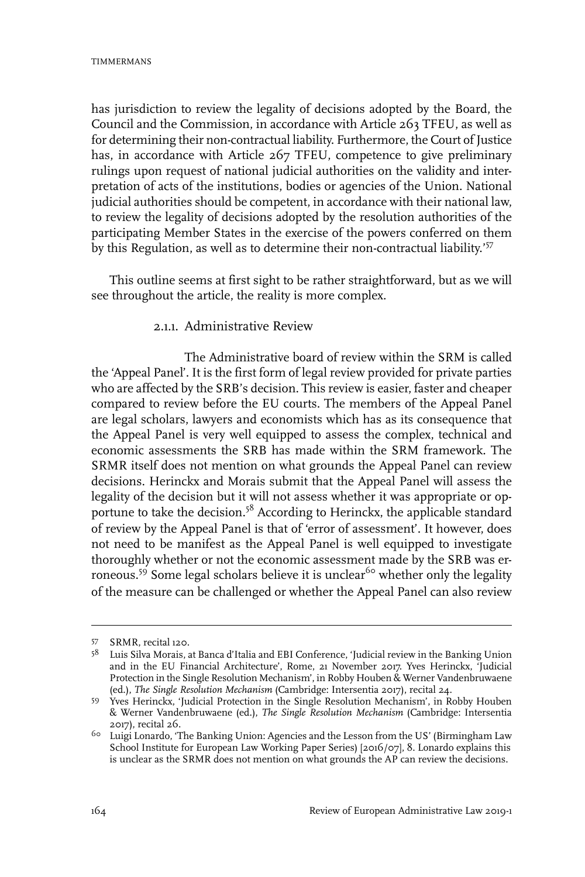has jurisdiction to review the legality of decisions adopted by the Board, the Council and the Commission, in accordance with Article 263 TFEU, as well as for determining their non-contractual liability. Furthermore, the Court of Justice has, in accordance with Article 267 TFEU, competence to give preliminary rulings upon request of national judicial authorities on the validity and interpretation of acts of the institutions, bodies or agencies of the Union. National judicial authorities should be competent, in accordance with their national law, to review the legality of decisions adopted by the resolution authorities of the participating Member States in the exercise of the powers conferred on them by this Regulation, as well as to determine their non-contractual liability.'<sup>57</sup>

This outline seems at first sight to be rather straightforward, but as we will see throughout the article, the reality is more complex.

### 2.1.1. Administrative Review

The Administrative board of review within the SRM is called the 'Appeal Panel'. It is the first form of legal review provided for private parties who are affected by the SRB's decision. This review is easier, faster and cheaper compared to review before the EU courts. The members of the Appeal Panel are legal scholars, lawyers and economists which has as its consequence that the Appeal Panel is very well equipped to assess the complex, technical and economic assessments the SRB has made within the SRM framework. The SRMR itself does not mention on what grounds the Appeal Panel can review decisions. Herinckx and Morais submit that the Appeal Panel will assess the legality of the decision but it will not assess whether it was appropriate or opportune to take the decision.<sup>58</sup> According to Herinckx, the applicable standard of review by the Appeal Panel is that of 'error of assessment'. It however, does not need to be manifest as the Appeal Panel is well equipped to investigate thoroughly whether or not the economic assessment made by the SRB was erroneous.<sup>59</sup> Some legal scholars believe it is unclear<sup>60</sup> whether only the legality of the measure can be challenged or whether the Appeal Panel can also review

<sup>57</sup> SRMR, recital 120.

<sup>&</sup>lt;sup>58</sup> Luis Silva Morais, at Banca d'Italia and EBI Conference, 'Judicial review in the Banking Union and in the EU Financial Architecture', Rome, 21 November 2017. Yves Herinckx, 'Judicial Protection in the Single Resolution Mechanism', in Robby Houben & Werner Vandenbruwaene (ed.), *The Single Resolution Mechanism* (Cambridge:Intersentia 2017), recital 24.

<sup>&</sup>lt;sup>59</sup> Yves Herinckx, 'Judicial Protection in the Single Resolution Mechanism', in Robby Houben & Werner Vandenbruwaene (ed.), *The Single Resolution Mechanism* (Cambridge: Intersentia 2017), recital 26.

 $6\circ$  Luigi Lonardo, 'The Banking Union: Agencies and the Lesson from the US' (Birmingham Law School Institute for European Law Working Paper Series) [2016/07], 8. Lonardo explains this is unclear as the SRMR does not mention on what grounds the AP can review the decisions.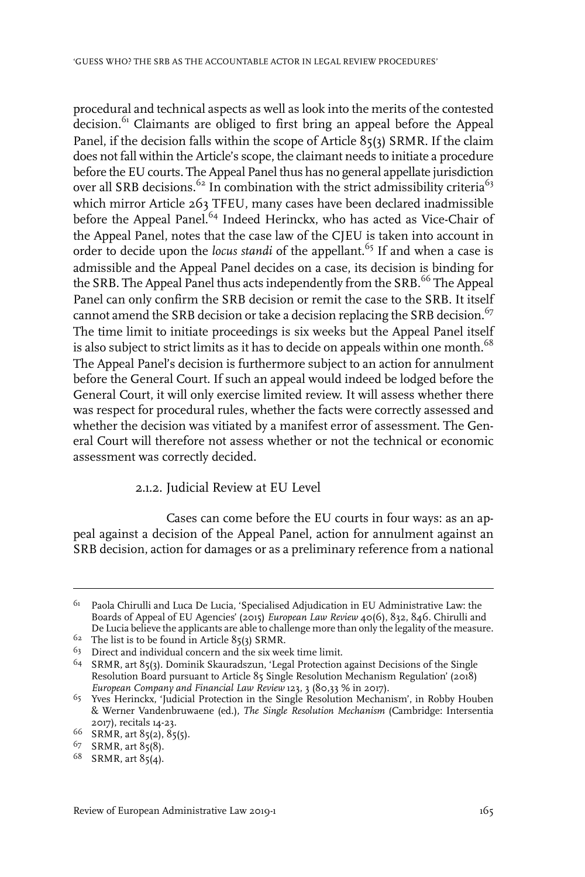procedural and technical aspects as well as look into the merits of the contested decision.<sup>61</sup> Claimants are obliged to first bring an appeal before the Appeal Panel, if the decision falls within the scope of Article 85(3) SRMR. If the claim does not fall within the Article's scope, the claimant needs to initiate a procedure before the EU courts. The Appeal Panel thus has no general appellate jurisdiction over all SRB decisions.<sup>62</sup> In combination with the strict admissibility criteria<sup>63</sup> which mirror Article 263 TFEU, many cases have been declared inadmissible before the Appeal Panel.<sup>64</sup> Indeed Herinckx, who has acted as Vice-Chair of the Appeal Panel, notes that the case law of the CJEU is taken into account in order to decide upon the *locus standi* of the appellant.<sup>65</sup> If and when a case is admissible and the Appeal Panel decides on a case, its decision is binding for the SRB. The Appeal Panel thus acts independently from the SRB.<sup>66</sup> The Appeal Panel can only confirm the SRB decision or remit the case to the SRB. It itself cannot amend the SRB decision or take a decision replacing the SRB decision.<sup>67</sup> The time limit to initiate proceedings is six weeks but the Appeal Panel itself is also subject to strict limits as it has to decide on appeals within one month.<sup>68</sup> The Appeal Panel's decision is furthermore subject to an action for annulment before the General Court. If such an appeal would indeed be lodged before the General Court, it will only exercise limited review. It will assess whether there was respect for procedural rules, whether the facts were correctly assessed and whether the decision was vitiated by a manifest error of assessment. The General Court will therefore not assess whether or not the technical or economic assessment was correctly decided.

### 2.1.2. Judicial Review at EU Level

Cases can come before the EU courts in four ways: as an appeal against a decision of the Appeal Panel, action for annulment against an SRB decision, action for damages or as a preliminary reference from a national

 $^{61}$  Paola Chirulli and Luca De Lucia, 'Specialised Adjudication in EU Administrative Law: the Boards of Appeal of EU Agencies' (2015) *European Law Review* 40(6), 832, 846. Chirulli and De Lucia believe the applicants are able to challenge more than only the legality of the measure.

 $62$  The list is to be found in Article 85(3) SRMR.

 $63$  Direct and individual concern and the six week time limit.

 $64$  SRMR, art  $85(3)$ . Dominik Skauradszun, 'Legal Protection against Decisions of the Single Resolution Board pursuant to Article 85 Single Resolution Mechanism Regulation' (2018) *European Company and Financial Law Review* 123, 3 (80,33 % in 2017).

<sup>&</sup>lt;sup>65</sup> Yves Herinckx, 'Judicial Protection in the Single Resolution Mechanism', in Robby Houben & Werner Vandenbruwaene (ed.), *The Single Resolution Mechanism* (Cambridge: Intersentia 2017), recitals 14-23.

<sup>66</sup> SRMR, art 85(2), 85(5).

<sup>67</sup> SRMR, art 85(8).

<sup>68</sup> SRMR, art 85(4).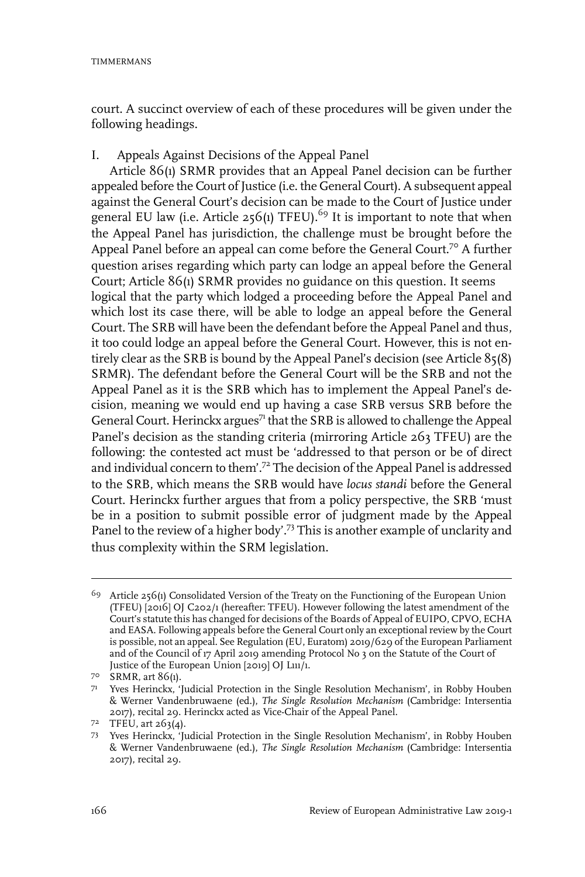court. A succinct overview of each of these procedures will be given under the following headings.

### I. Appeals Against Decisions of the Appeal Panel

Article 86(1) SRMR provides that an Appeal Panel decision can be further appealed before the Court of Justice (i.e. the General Court). A subsequent appeal against the General Court's decision can be made to the Court of Justice under general EU law (i.e. Article 256(1) TFEU).<sup>69</sup> It is important to note that when the Appeal Panel has jurisdiction, the challenge must be brought before the Appeal Panel before an appeal can come before the General Court.<sup>70</sup> A further question arises regarding which party can lodge an appeal before the General Court; Article 86(1) SRMR provides no guidance on this question. It seems logical that the party which lodged a proceeding before the Appeal Panel and which lost its case there, will be able to lodge an appeal before the General Court. The SRB will have been the defendant before the Appeal Panel and thus, it too could lodge an appeal before the General Court. However, this is not entirely clear as the SRB is bound by the Appeal Panel's decision (see Article 85(8) SRMR). The defendant before the General Court will be the SRB and not the Appeal Panel as it is the SRB which has to implement the Appeal Panel's decision, meaning we would end up having a case SRB versus SRB before the General Court. Herinckx argues<sup>71</sup> that the SRB is allowed to challenge the Appeal Panel's decision as the standing criteria (mirroring Article 263 TFEU) are the following: the contested act must be 'addressed to that person or be of direct and individual concern to them'.<sup>72</sup> The decision of the Appeal Panel is addressed to the SRB, which means the SRB would have *locus standi* before the General Court. Herinckx further argues that from a policy perspective, the SRB 'must be in a position to submit possible error of judgment made by the Appeal Panel to the review of a higher body'.<sup>73</sup> This is another example of unclarity and thus complexity within the SRM legislation.

 $69$  Article 256(1) Consolidated Version of the Treaty on the Functioning of the European Union (TFEU) [2016] OJ C202/1 (hereafter: TFEU). However following the latest amendment of the Court's statute this has changed for decisions of the Boards of Appeal of EUIPO, CPVO, ECHA and EASA. Following appeals before the General Court only an exceptional review by the Court is possible, not an appeal. See Regulation (EU, Euratom) 2019/629 of the European Parliament and of the Council of 17 April 2019 amending Protocol No 3 on the Statute of the Court of Justice of the European Union [2019] OJ L111/1*.*

<sup>70</sup> SRMR, art 86(1).

<sup>7&</sup>lt;sup>1</sup> Yves Herinckx, 'Judicial Protection in the Single Resolution Mechanism', in Robby Houben & Werner Vandenbruwaene (ed.), *The Single Resolution Mechanism* (Cambridge: Intersentia 2017), recital 29. Herinckx acted as Vice-Chair of the Appeal Panel.

 $7^2$  TFEU, art  $263(4)$ .

<sup>73</sup> Yves Herinckx, 'Judicial Protection in the Single Resolution Mechanism', in Robby Houben & Werner Vandenbruwaene (ed.), *The Single Resolution Mechanism* (Cambridge: Intersentia 2017), recital 29.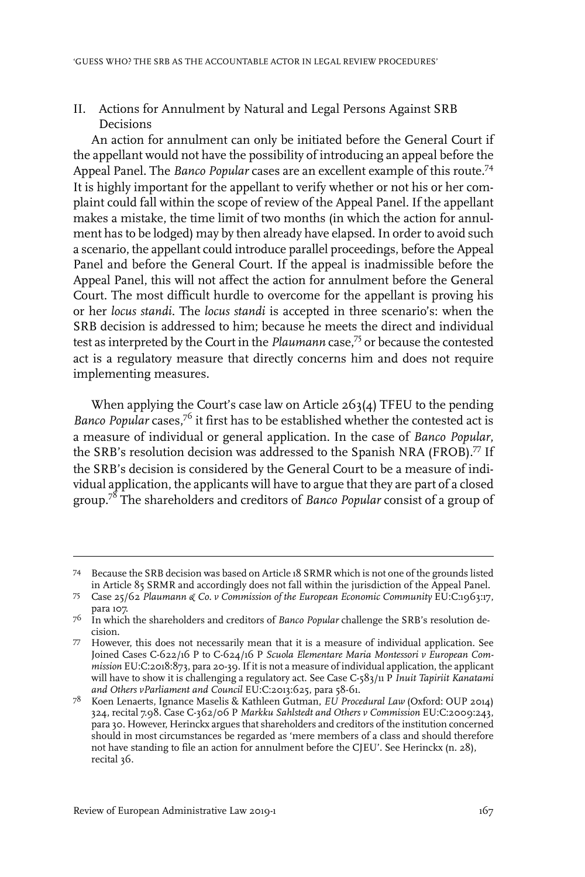### II. Actions for Annulment by Natural and Legal Persons Against SRB Decisions

An action for annulment can only be initiated before the General Court if the appellant would not have the possibility of introducing an appeal before the Appeal Panel. The *Banco Popular* cases are an excellent example of this route.<sup>74</sup> It is highly important for the appellant to verify whether or not his or her complaint could fall within the scope of review of the Appeal Panel. If the appellant makes a mistake, the time limit of two months (in which the action for annulment has to be lodged) may by then already have elapsed. In order to avoid such a scenario, the appellant could introduce parallel proceedings, before the Appeal Panel and before the General Court. If the appeal is inadmissible before the Appeal Panel, this will not affect the action for annulment before the General Court. The most difficult hurdle to overcome for the appellant is proving his or her *locus standi*. The *locus standi* is accepted in three scenario's: when the SRB decision is addressed to him; because he meets the direct and individual test as interpreted by the Court in the *Plaumann* case,<sup>75</sup> or because the contested act is a regulatory measure that directly concerns him and does not require implementing measures.

When applying the Court's case law on Article 263(4) TFEU to the pending *Banco Popular* cases,<sup>76</sup> it first has to be established whether the contested act is a measure of individual or general application. In the case of *Banco Popular*, the SRB's resolution decision was addressed to the Spanish NRA (FROB).<sup>77</sup> If the SRB's decision is considered by the General Court to be a measure of individual application, the applicants will have to argue that they are part of a closed group.<sup>78</sup> The shareholders and creditors of *Banco Popular* consist of a group of

Because the SRB decision was based on Article 18 SRMR which is not one of the grounds listed 74 in Article 85 SRMR and accordingly does not fall within the jurisdiction of the Appeal Panel.

Case 25/62 *Plaumann & Co. v Commission of the European Economic Community* EU:C:1963:17, para 107. 75

<sup>&</sup>lt;sup>76</sup> In which the shareholders and creditors of *Banco Popular* challenge the SRB's resolution decision.

<sup>77</sup> However, this does not necessarily mean that it is a measure of individual application. See Joined Cases C-622/16 P to C-624/16 P *Scuola Elementare Maria Montessori v European Commission* EU:C:2018:873, para 20-39.If it is not a measure of individual application, the applicant will have to show it is challenging a regulatory act. See Case C-583/11 P *Inuit Tapiriit Kanatami and Others vParliament and Council* EU:C:2013:625, para 58-61.

<sup>&</sup>lt;sup>78</sup> Koen Lenaerts, Ignance Maselis & Kathleen Gutman, *EU Procedural Law* (Oxford: OUP 2014) 324, recital 7.98. Case C-362/06 P *Markku Sahlstedt and Others v Commission* EU:C:2009:243, para 30. However, Herinckx argues that shareholders and creditors of the institution concerned should in most circumstances be regarded as 'mere members of a class and should therefore not have standing to file an action for annulment before the CJEU'. See Herinckx (n. 28), recital 36.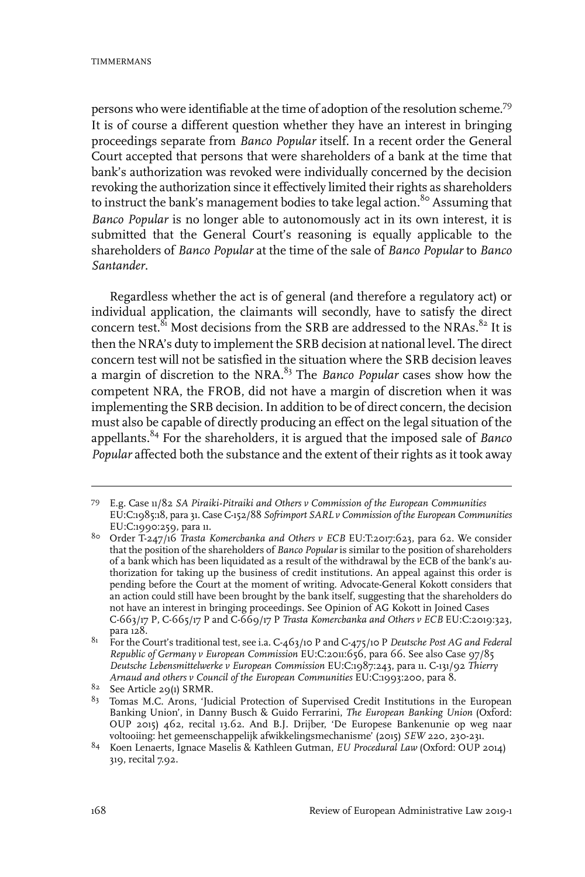persons who were identifiable at the time of adoption of the resolution scheme.<sup>79</sup> It is of course a different question whether they have an interest in bringing proceedings separate from *Banco Popular* itself. In a recent order the General Court accepted that persons that were shareholders of a bank at the time that bank's authorization was revoked were individually concerned by the decision revoking the authorization since it effectively limited their rights as shareholders to instruct the bank's management bodies to take legal action.<sup>80</sup> Assuming that *Banco Popular* is no longer able to autonomously act in its own interest, it is submitted that the General Court's reasoning is equally applicable to the shareholders of *Banco Popular* at the time of the sale of *Banco Popular* to *Banco Santander*.

Regardless whether the act is of general (and therefore a regulatory act) or individual application, the claimants will secondly, have to satisfy the direct concern test.<sup>81</sup> Most decisions from the SRB are addressed to the NRAs.<sup>82</sup> It is then the NRA's duty to implement the SRB decision at national level. The direct concern test will not be satisfied in the situation where the SRB decision leaves a margin of discretion to the NRA.<sup>83</sup> The *Banco Popular* cases show how the competent NRA, the FROB, did not have a margin of discretion when it was implementing the SRB decision. In addition to be of direct concern, the decision must also be capable of directly producing an effect on the legal situation of the appellants.<sup>84</sup> For the shareholders, it is argued that the imposed sale of *Banco Popular* affected both the substance and the extent of their rights as it took away

E.g. Case 11/82 *SA Piraiki-Pitraiki and Others v Commission of the European Communities* 79 EU:C:1985:18, para 31. Case C-152/88 *Sofrimport SARL v Commission of the European Communities* EU:C:1990:259, para 11.

Order T-247/16 *Trasta Komercbanka and Others v ECB* EU:T:2017:623, para 62. We consider 80 that the position of the shareholders of *Banco Popular* is similar to the position of shareholders of a bank which has been liquidated as a result of the withdrawal by the ECB of the bank's authorization for taking up the business of credit institutions. An appeal against this order is pending before the Court at the moment of writing. Advocate-General Kokott considers that an action could still have been brought by the bank itself, suggesting that the shareholders do not have an interest in bringing proceedings. See Opinion of AG Kokott in Joined Cases C-663/17 P, C-665/17 P and C-669/17 P *Trasta Komercbanka and Others v ECB* EU:C:2019:323, para 128.

For the Court's traditional test, see i.a. C-463/10 P and C-475/10 P *Deutsche Post AG and Federal* 81 *Republic of Germany v European Commission* EU:C:2011:656, para 66. See also Case 97/85 *Deutsche Lebensmittelwerke v European Commission* EU:C:1987:243, para 11. C-131/92 *Thierry Arnaud and others v Council of the European Communities* EU:C:1993:200, para 8.

 $82$  See Article 29(1) SRMR.

<sup>&</sup>lt;sup>83</sup> Tomas M.C. Arons, 'Judicial Protection of Supervised Credit Institutions in the European Banking Union', in Danny Busch & Guido Ferrarini, *The European Banking Union* (Oxford: OUP 2015) 462, recital 13.62. And B.J. Drijber, 'De Europese Bankenunie op weg naar voltooiing: het gemeenschappelijk afwikkelingsmechanisme' (2015) *SEW* 220, 230-231.

<sup>&</sup>lt;sup>84</sup> Koen Lenaerts, Ignace Maselis & Kathleen Gutman, *EU Procedural Law* (Oxford: OUP 2014) 319, recital 7.92.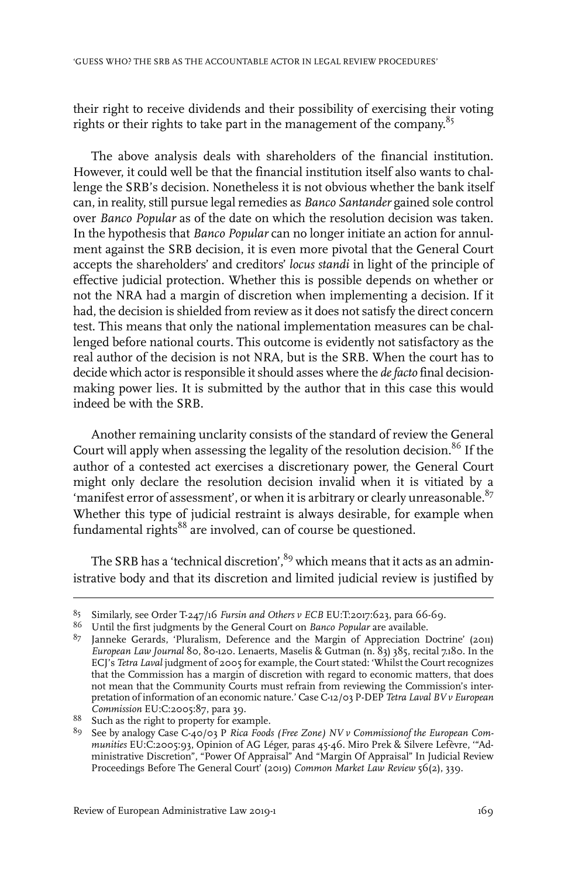their right to receive dividends and their possibility of exercising their voting rights or their rights to take part in the management of the company.<sup>85</sup>

The above analysis deals with shareholders of the financial institution. However, it could well be that the financial institution itself also wants to challenge the SRB's decision. Nonetheless it is not obvious whether the bank itself can, in reality, still pursue legal remedies as *Banco Santander* gained sole control over *Banco Popular* as of the date on which the resolution decision was taken. In the hypothesis that *Banco Popular* can no longer initiate an action for annulment against the SRB decision, it is even more pivotal that the General Court accepts the shareholders' and creditors' *locus standi* in light of the principle of effective judicial protection. Whether this is possible depends on whether or not the NRA had a margin of discretion when implementing a decision. If it had, the decision is shielded from review as it does not satisfy the direct concern test. This means that only the national implementation measures can be challenged before national courts. This outcome is evidently not satisfactory as the real author of the decision is not NRA, but is the SRB. When the court has to decide which actor is responsible it should asses where the *de facto* final decisionmaking power lies. It is submitted by the author that in this case this would indeed be with the SRB.

Another remaining unclarity consists of the standard of review the General Court will apply when assessing the legality of the resolution decision.<sup>86</sup> If the author of a contested act exercises a discretionary power, the General Court might only declare the resolution decision invalid when it is vitiated by a 'manifest error of assessment', or when it is arbitrary or clearly unreasonable. $87$ Whether this type of judicial restraint is always desirable, for example when fundamental rights<sup>88</sup> are involved, can of course be questioned.

The SRB has a 'technical discretion',  $89$  which means that it acts as an administrative body and that its discretion and limited judicial review is justified by

Similarly, see Order T-247/16 *Fursin and Others v ECB* EU:T:2017:623, para 66-69. <sup>85</sup>

Until the first judgments by the General Court on *Banco Popular* are available. <sup>86</sup>

 $87$  Janneke Gerards, 'Pluralism, Deference and the Margin of Appreciation Doctrine' (2011) *European Law Journal* 80, 80-120. Lenaerts, Maselis & Gutman (n. 83) 385, recital 7.180.In the ECJ's *Tetra Laval* judgment of 2005 for example, the Court stated: 'Whilst the Court recognizes that the Commission has a margin of discretion with regard to economic matters, that does not mean that the Community Courts must refrain from reviewing the Commission's interpretation of information of an economic nature.' Case C-12/03 P-DEP *Tetra Laval BV v European Commission* EU:C:2005:87, para 39.

<sup>88</sup> Such as the right to property for example.

See by analogy Case C-40/03 P *Rica Foods (Free Zone) NV v Commissionof the European Com-*89 *munities* EU:C:2005:93, Opinion of AG Léger, paras 45-46. Miro Prek & Silvere Lefèvre, '"Administrative Discretion", "Power Of Appraisal" And "Margin Of Appraisal" In Judicial Review Proceedings Before The General Court' (2019) *Common Market Law Review* 56(2), 339.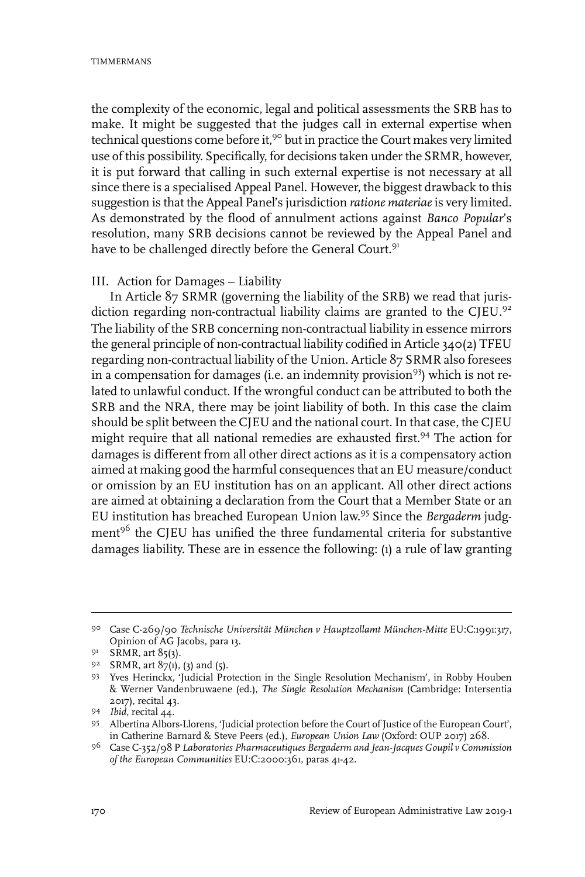the complexity of the economic, legal and political assessments the SRB has to make. It might be suggested that the judges call in external expertise when technical questions come before it,<sup>90</sup> but in practice the Court makes very limited use of this possibility. Specifically, for decisions taken under the SRMR, however, it is put forward that calling in such external expertise is not necessary at all since there is a specialised Appeal Panel. However, the biggest drawback to this suggestion is that the Appeal Panel's jurisdiction *ratione materiae*is very limited. As demonstrated by the flood of annulment actions against *Banco Popular*'s resolution, many SRB decisions cannot be reviewed by the Appeal Panel and have to be challenged directly before the General Court.<sup>91</sup>

#### III. Action for Damages – Liability

In Article 87 SRMR (governing the liability of the SRB) we read that jurisdiction regarding non-contractual liability claims are granted to the CJEU.<sup>92</sup> The liability of the SRB concerning non-contractual liability in essence mirrors the general principle of non-contractual liability codified in Article 340(2) TFEU regarding non-contractual liability of the Union. Article 87 SRMR also foresees in a compensation for damages (i.e. an indemnity provision<sup>93</sup>) which is not related to unlawful conduct. If the wrongful conduct can be attributed to both the SRB and the NRA, there may be joint liability of both. In this case the claim should be split between the CJEU and the national court. In that case, the CJEU might require that all national remedies are exhausted first.<sup>94</sup> The action for damages is different from all other direct actions as it is a compensatory action aimed at making good the harmful consequences that an EU measure/conduct or omission by an EU institution has on an applicant. All other direct actions are aimed at obtaining a declaration from the Court that a Member State or an EU institution has breached European Union law. <sup>95</sup> Since the *Bergaderm* judgment<sup>96</sup> the CJEU has unified the three fundamental criteria for substantive damages liability. These are in essence the following: (1) a rule of law granting

Case C-269/90 *Technische Universität München v Hauptzollamt München-Mitte* EU:C:1991:317, 90 Opinion of AG Jacobs, para 13.

 $91$  SRMR, art 85(3).

 $92$  SRMR, art  $87(1)$ , (3) and (5).

<sup>93</sup> Yves Herinckx, 'Judicial Protection in the Single Resolution Mechanism', in Robby Houben & Werner Vandenbruwaene (ed.), *The Single Resolution Mechanism* (Cambridge: Intersentia 2017), recital 43.

<sup>94</sup> *Ibid*, recital 44.

Albertina Albors-Llorens, 'Judicial protection before the Court of Justice of the European Court', 95 in Catherine Barnard & Steve Peers (ed.), *European Union Law* (Oxford: OUP 2017) 268.

Case C-352/98 P *Laboratories Pharmaceutiques Bergaderm and Jean-Jacques Goupil v Commission* 96 *of the European Communities* EU:C:2000:361, paras 41-42.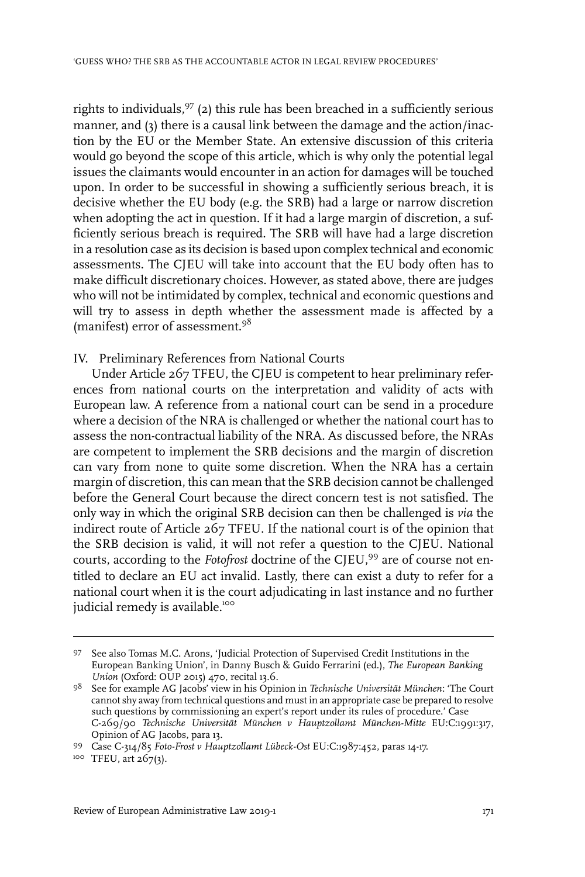rights to individuals,  $97$  (2) this rule has been breached in a sufficiently serious manner, and (3) there is a causal link between the damage and the action/inaction by the EU or the Member State. An extensive discussion of this criteria would go beyond the scope of this article, which is why only the potential legal issues the claimants would encounter in an action for damages will be touched upon. In order to be successful in showing a sufficiently serious breach, it is decisive whether the EU body (e.g. the SRB) had a large or narrow discretion when adopting the act in question. If it had a large margin of discretion, a sufficiently serious breach is required. The SRB will have had a large discretion in a resolution case as its decision is based upon complex technical and economic assessments. The CJEU will take into account that the EU body often has to make difficult discretionary choices. However, as stated above, there are judges who will not be intimidated by complex, technical and economic questions and will try to assess in depth whether the assessment made is affected by a (manifest) error of assessment.<sup>98</sup>

#### IV. Preliminary References from National Courts

Under Article 267 TFEU, the CJEU is competent to hear preliminary references from national courts on the interpretation and validity of acts with European law. A reference from a national court can be send in a procedure where a decision of the NRA is challenged or whether the national court has to assess the non-contractual liability of the NRA. As discussed before, the NRAs are competent to implement the SRB decisions and the margin of discretion can vary from none to quite some discretion. When the NRA has a certain margin of discretion, this can mean that the SRB decision cannot be challenged before the General Court because the direct concern test is not satisfied. The only way in which the original SRB decision can then be challenged is *via* the indirect route of Article 267 TFEU. If the national court is of the opinion that the SRB decision is valid, it will not refer a question to the CJEU. National courts, according to the *Fotofrost* doctrine of the CJEU,<sup>99</sup> are of course not entitled to declare an EU act invalid. Lastly, there can exist a duty to refer for a national court when it is the court adjudicating in last instance and no further judicial remedy is available.<sup>100</sup>

<sup>97</sup> See also Tomas M.C. Arons, 'Judicial Protection of Supervised Credit Institutions in the European Banking Union', in Danny Busch & Guido Ferrarini (ed.), *The European Banking Union* (Oxford: OUP 2015) 470, recital 13.6.

See for example AG Jacobs' view in his Opinion in *Technische Universität München*: 'The Court 98 cannot shy away from technical questions and must in an appropriate case be prepared to resolve such questions by commissioning an expert's report under its rules of procedure.' Case C-269/90 *Technische Universität München v Hauptzollamt München-Mitte* EU:C:1991:317, Opinion of AG Jacobs, para 13.

Case C-314/85 *Foto-Frost v Hauptzollamt Lübeck-Ost* EU:C:1987:452, paras 14-17. 99

<sup>100</sup> TFEU, art 267(3).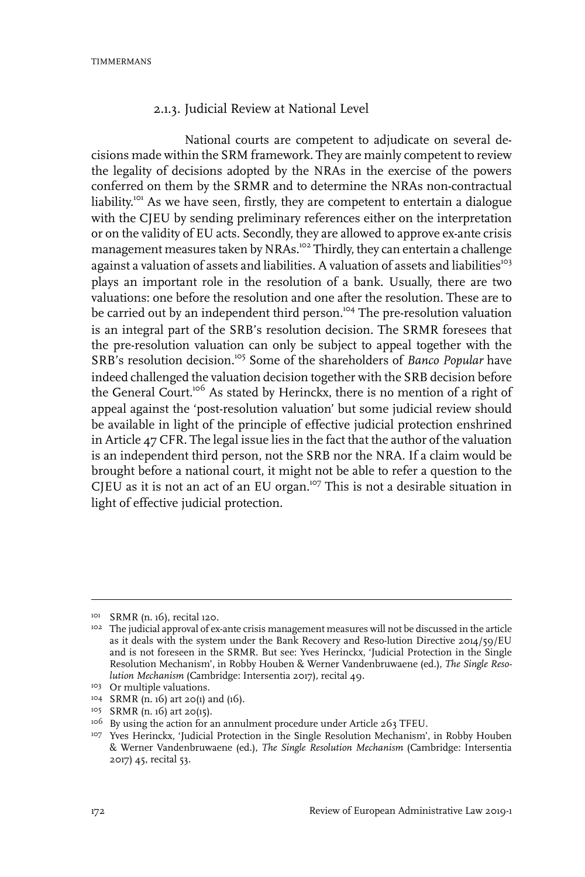TIMMERMANS

### 2.1.3. Judicial Review at National Level

National courts are competent to adjudicate on several decisions made within the SRM framework. They are mainly competent to review the legality of decisions adopted by the NRAs in the exercise of the powers conferred on them by the SRMR and to determine the NRAs non-contractual liability.<sup>101</sup> As we have seen, firstly, they are competent to entertain a dialogue with the CIEU by sending preliminary references either on the interpretation or on the validity of EU acts. Secondly, they are allowed to approve ex-ante crisis management measures taken by NRAs.<sup>102</sup> Thirdly, they can entertain a challenge against a valuation of assets and liabilities. A valuation of assets and liabilities $^{103}$ plays an important role in the resolution of a bank. Usually, there are two valuations: one before the resolution and one after the resolution. These are to be carried out by an independent third person.<sup>104</sup> The pre-resolution valuation is an integral part of the SRB's resolution decision. The SRMR foresees that the pre-resolution valuation can only be subject to appeal together with the SRB's resolution decision.<sup>105</sup> Some of the shareholders of *Banco Popular* have indeed challenged the valuation decision together with the SRB decision before the General Court.<sup>106</sup> As stated by Herinckx, there is no mention of a right of appeal against the 'post-resolution valuation' but some judicial review should be available in light of the principle of effective judicial protection enshrined in Article 47 CFR. The legal issue lies in the fact that the author of the valuation is an independent third person, not the SRB nor the NRA. If a claim would be brought before a national court, it might not be able to refer a question to the CJEU as it is not an act of an EU organ.<sup>107</sup> This is not a desirable situation in light of effective judicial protection.

<sup>&</sup>lt;sup>101</sup> SRMR (n. 16), recital 120.

<sup>&</sup>lt;sup>102</sup> The judicial approval of ex-ante crisis management measures will not be discussed in the article as it deals with the system under the Bank Recovery and Reso-lution Directive 2014/59/EU and is not foreseen in the SRMR. But see: Yves Herinckx, 'Judicial Protection in the Single Resolution Mechanism', in Robby Houben & Werner Vandenbruwaene (ed.), *The Single Resolution Mechanism* (Cambridge:Intersentia 2017), recital 49.

<sup>&</sup>lt;sup>103</sup> Or multiple valuations.

<sup>&</sup>lt;sup>104</sup> SRMR (n. 16) art 20(1) and (16).

<sup>&</sup>lt;sup>105</sup> SRMR (n. 16) art 20(15).

<sup>&</sup>lt;sup>106</sup> By using the action for an annulment procedure under Article 263 TFEU.

<sup>&</sup>lt;sup>107</sup> Yves Herinckx, 'Judicial Protection in the Single Resolution Mechanism', in Robby Houben & Werner Vandenbruwaene (ed.), *The Single Resolution Mechanism* (Cambridge: Intersentia 2017) 45, recital 53.